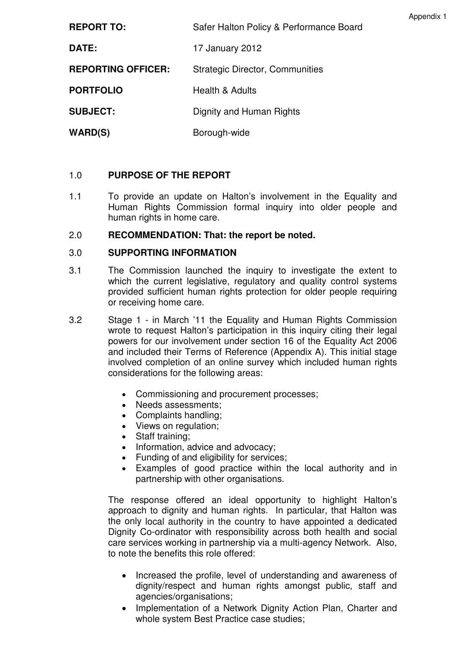| Appendix 1 |
|------------|
|------------|

| <b>REPORT TO:</b>         | Safer Halton Policy & Performance Board |
|---------------------------|-----------------------------------------|
| <b>DATE:</b>              | 17 January 2012                         |
| <b>REPORTING OFFICER:</b> | <b>Strategic Director, Communities</b>  |
| <b>PORTFOLIO</b>          | <b>Health &amp; Adults</b>              |
| <b>SUBJECT:</b>           | Dignity and Human Rights                |
| <b>WARD(S)</b>            | Borough-wide                            |

# 1.0 **PURPOSE OF THE REPORT**

1.1 To provide an update on Halton's involvement in the Equality and Human Rights Commission formal inquiry into older people and human rights in home care.

### 2.0 **RECOMMENDATION: That: the report be noted.**

### 3.0 **SUPPORTING INFORMATION**

- 3.1 The Commission launched the inquiry to investigate the extent to which the current legislative, regulatory and quality control systems provided sufficient human rights protection for older people requiring or receiving home care.
- 3.2 Stage 1 in March '11 the Equality and Human Rights Commission wrote to request Halton's participation in this inquiry citing their legal powers for our involvement under section 16 of the Equality Act 2006 and included their Terms of Reference (Appendix A). This initial stage involved completion of an online survey which included human rights considerations for the following areas:
	- Commissioning and procurement processes;
	- Needs assessments;
	- Complaints handling;
	- Views on regulation;
	- Staff training:
	- Information, advice and advocacy;
	- Funding of and eligibility for services;
	- Examples of good practice within the local authority and in partnership with other organisations.

The response offered an ideal opportunity to highlight Halton's approach to dignity and human rights. In particular, that Halton was the only local authority in the country to have appointed a dedicated Dignity Co-ordinator with responsibility across both health and social care services working in partnership via a multi-agency Network. Also, to note the benefits this role offered:

- Increased the profile, level of understanding and awareness of dignity/respect and human rights amongst public, staff and agencies/organisations;
- Implementation of a Network Dignity Action Plan, Charter and whole system Best Practice case studies;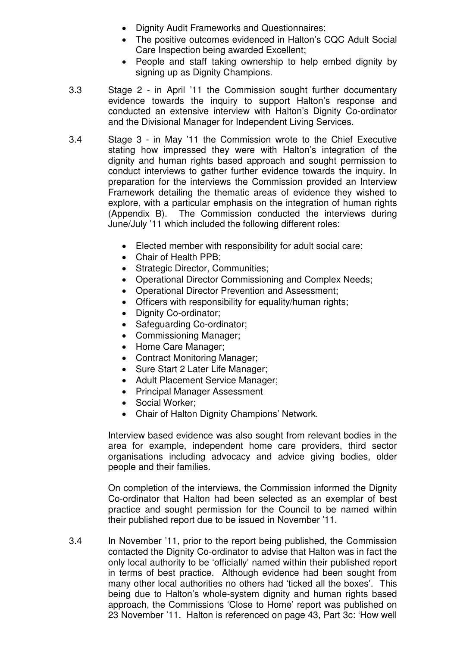- Dignity Audit Frameworks and Questionnaires;
- The positive outcomes evidenced in Halton's CQC Adult Social Care Inspection being awarded Excellent;
- People and staff taking ownership to help embed dignity by signing up as Dignity Champions.
- 3.3 Stage 2 in April '11 the Commission sought further documentary evidence towards the inquiry to support Halton's response and conducted an extensive interview with Halton's Dignity Co-ordinator and the Divisional Manager for Independent Living Services.
- 3.4 Stage 3 in May '11 the Commission wrote to the Chief Executive stating how impressed they were with Halton's integration of the dignity and human rights based approach and sought permission to conduct interviews to gather further evidence towards the inquiry. In preparation for the interviews the Commission provided an Interview Framework detailing the thematic areas of evidence they wished to explore, with a particular emphasis on the integration of human rights (Appendix B). The Commission conducted the interviews during June/July '11 which included the following different roles:
	- Elected member with responsibility for adult social care;
	- Chair of Health PPB;
	- Strategic Director, Communities;
	- Operational Director Commissioning and Complex Needs;
	- Operational Director Prevention and Assessment;
	- Officers with responsibility for equality/human rights;
	- Dignity Co-ordinator;
	- Safeguarding Co-ordinator;
	- Commissioning Manager;
	- Home Care Manager;
	- Contract Monitoring Manager;
	- Sure Start 2 Later Life Manager;
	- Adult Placement Service Manager;
	- Principal Manager Assessment
	- Social Worker;
	- Chair of Halton Dignity Champions' Network.

Interview based evidence was also sought from relevant bodies in the area for example, independent home care providers, third sector organisations including advocacy and advice giving bodies, older people and their families.

On completion of the interviews, the Commission informed the Dignity Co-ordinator that Halton had been selected as an exemplar of best practice and sought permission for the Council to be named within their published report due to be issued in November '11.

3.4 In November '11, prior to the report being published, the Commission contacted the Dignity Co-ordinator to advise that Halton was in fact the only local authority to be 'officially' named within their published report in terms of best practice. Although evidence had been sought from many other local authorities no others had 'ticked all the boxes'. This being due to Halton's whole-system dignity and human rights based approach, the Commissions 'Close to Home' report was published on 23 November '11. Halton is referenced on page 43, Part 3c: 'How well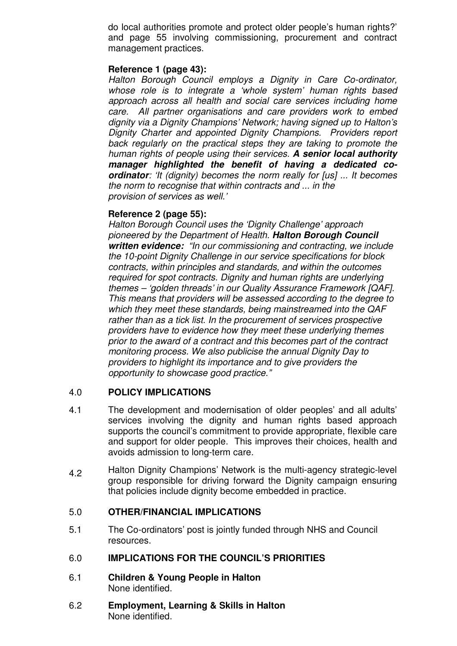do local authorities promote and protect older people's human rights?' and page 55 involving commissioning, procurement and contract management practices.

### **Reference 1 (page 43):**

Halton Borough Council employs a Dignity in Care Co-ordinator, whose role is to integrate a 'whole system' human rights based approach across all health and social care services including home care. All partner organisations and care providers work to embed dignity via a Dignity Champions' Network; having signed up to Halton's Dignity Charter and appointed Dignity Champions. Providers report back regularly on the practical steps they are taking to promote the human rights of people using their services. **A senior local authority manager highlighted the benefit of having a dedicated coordinator**: 'It (dignity) becomes the norm really for [us] ... It becomes the norm to recognise that within contracts and ... in the provision of services as well.'

#### **Reference 2 (page 55):**

Halton Borough Council uses the 'Dignity Challenge' approach pioneered by the Department of Health. **Halton Borough Council written evidence:** "In our commissioning and contracting, we include the 10-point Dignity Challenge in our service specifications for block contracts, within principles and standards, and within the outcomes required for spot contracts. Dignity and human rights are underlying themes – 'golden threads' in our Quality Assurance Framework [QAF]. This means that providers will be assessed according to the degree to which they meet these standards, being mainstreamed into the QAF rather than as a tick list. In the procurement of services prospective providers have to evidence how they meet these underlying themes prior to the award of a contract and this becomes part of the contract monitoring process. We also publicise the annual Dignity Day to providers to highlight its importance and to give providers the opportunity to showcase good practice."

# 4.0 **POLICY IMPLICATIONS**

- 4.1 The development and modernisation of older peoples' and all adults' services involving the dignity and human rights based approach supports the council's commitment to provide appropriate, flexible care and support for older people. This improves their choices, health and avoids admission to long-term care.
- 4.2 Halton Dignity Champions' Network is the multi-agency strategic-level group responsible for driving forward the Dignity campaign ensuring that policies include dignity become embedded in practice.

#### 5.0 **OTHER/FINANCIAL IMPLICATIONS**

5.1 The Co-ordinators' post is jointly funded through NHS and Council resources.

#### 6.0 **IMPLICATIONS FOR THE COUNCIL'S PRIORITIES**

- 6.1 **Children & Young People in Halton**  None identified.
- 6.2 **Employment, Learning & Skills in Halton**  None identified.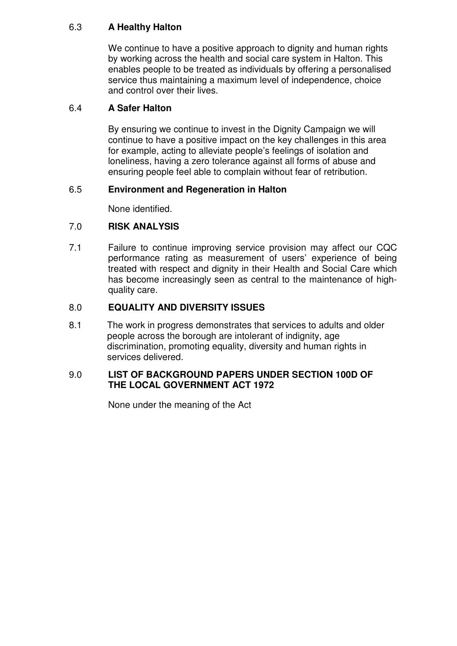# 6.3 **A Healthy Halton**

We continue to have a positive approach to dignity and human rights by working across the health and social care system in Halton. This enables people to be treated as individuals by offering a personalised service thus maintaining a maximum level of independence, choice and control over their lives.

# 6.4 **A Safer Halton**

By ensuring we continue to invest in the Dignity Campaign we will continue to have a positive impact on the key challenges in this area for example, acting to alleviate people's feelings of isolation and loneliness, having a zero tolerance against all forms of abuse and ensuring people feel able to complain without fear of retribution.

# 6.5 **Environment and Regeneration in Halton**

None identified.

# 7.0 **RISK ANALYSIS**

7.1 Failure to continue improving service provision may affect our CQC performance rating as measurement of users' experience of being treated with respect and dignity in their Health and Social Care which has become increasingly seen as central to the maintenance of highquality care.

# 8.0 **EQUALITY AND DIVERSITY ISSUES**

8.1 The work in progress demonstrates that services to adults and older people across the borough are intolerant of indignity, age discrimination, promoting equality, diversity and human rights in services delivered.

### 9.0 **LIST OF BACKGROUND PAPERS UNDER SECTION 100D OF THE LOCAL GOVERNMENT ACT 1972**

None under the meaning of the Act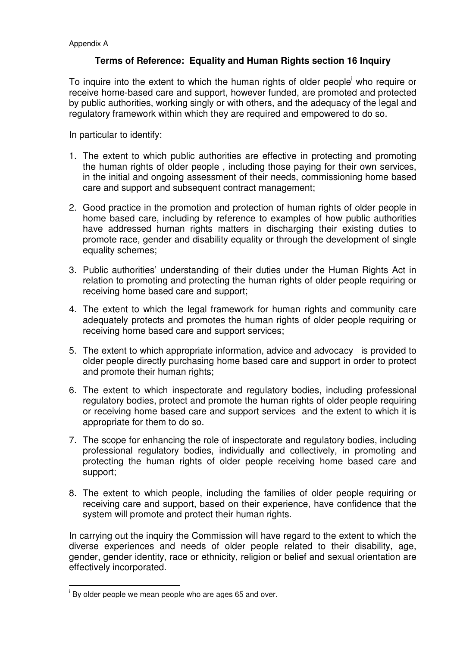### **Terms of Reference: Equality and Human Rights section 16 Inquiry**

To inquire into the extent to which the human rights of older people who require or receive home-based care and support, however funded, are promoted and protected by public authorities, working singly or with others, and the adequacy of the legal and regulatory framework within which they are required and empowered to do so.

In particular to identify:

- 1. The extent to which public authorities are effective in protecting and promoting the human rights of older people , including those paying for their own services, in the initial and ongoing assessment of their needs, commissioning home based care and support and subsequent contract management;
- 2. Good practice in the promotion and protection of human rights of older people in home based care, including by reference to examples of how public authorities have addressed human rights matters in discharging their existing duties to promote race, gender and disability equality or through the development of single equality schemes:
- 3. Public authorities' understanding of their duties under the Human Rights Act in relation to promoting and protecting the human rights of older people requiring or receiving home based care and support;
- 4. The extent to which the legal framework for human rights and community care adequately protects and promotes the human rights of older people requiring or receiving home based care and support services;
- 5. The extent to which appropriate information, advice and advocacy is provided to older people directly purchasing home based care and support in order to protect and promote their human rights;
- 6. The extent to which inspectorate and regulatory bodies, including professional regulatory bodies, protect and promote the human rights of older people requiring or receiving home based care and support services and the extent to which it is appropriate for them to do so.
- 7. The scope for enhancing the role of inspectorate and regulatory bodies, including professional regulatory bodies, individually and collectively, in promoting and protecting the human rights of older people receiving home based care and support;
- 8. The extent to which people, including the families of older people requiring or receiving care and support, based on their experience, have confidence that the system will promote and protect their human rights.

In carrying out the inquiry the Commission will have regard to the extent to which the diverse experiences and needs of older people related to their disability, age, gender, gender identity, race or ethnicity, religion or belief and sexual orientation are effectively incorporated.

l

i By older people we mean people who are ages 65 and over.